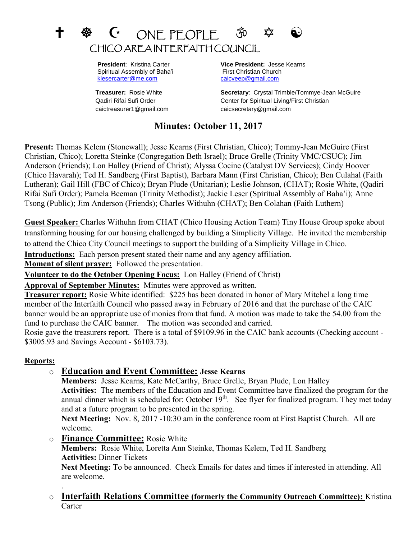# $G$  ONE PEOPLE 30  $\hat{\varphi}$ CHICO AREA INTERFAITH COUNCIL

Spiritual Assembly of Baha'i First Christian Church [klesercarter@me.com](mailto:klesercarter@me.com) [caicveep@gmail.com](mailto:caicveep@gmail.com)

caictreasurer1@gmail.com caicsecretary@gmail.com

 **President**: Kristina Carter **Vice President:** Jesse Kearns

**Treasurer:** Rosie White **Secretary**: Crystal Trimble/Tommye-Jean McGuire Qadiri Rifai Sufi Order Center for Spiritual Living/First Christian

# **Minutes: October 11, 2017**

**Present:** Thomas Kelem (Stonewall); Jesse Kearns (First Christian, Chico); Tommy-Jean McGuire (First Christian, Chico); Loretta Steinke (Congregation Beth Israel); Bruce Grelle (Trinity VMC/CSUC); Jim Anderson (Friends); Lon Halley (Friend of Christ); Alyssa Cocine (Catalyst DV Services); Cindy Hoover (Chico Havarah); Ted H. Sandberg (First Baptist), Barbara Mann (First Christian, Chico); Ben Culahal (Faith Lutheran); Gail Hill (FBC of Chico); Bryan Plude (Unitarian); Leslie Johnson, (CHAT); Rosie White, (Qadiri Rifai Sufi Order); Pamela Beeman (Trinity Methodist); Jackie Leser (Spiritual Assembly of Baha'i); Anne Tsong (Public); Jim Anderson (Friends); Charles Withuhn (CHAT); Ben Colahan (Faith Luthern)

**Guest Speaker:** Charles Withuhn from CHAT (Chico Housing Action Team) Tiny House Group spoke about transforming housing for our housing challenged by building a Simplicity Village. He invited the membership to attend the Chico City Council meetings to support the building of a Simplicity Village in Chico.

**Introductions:** Each person present stated their name and any agency affiliation.

**Moment of silent prayer:** Followed the presentation.

**Volunteer to do the October Opening Focus:** Lon Halley (Friend of Christ)

**Approval of September Minutes:** Minutes were approved as written.

**Treasurer report:** Rosie White identified: \$225 has been donated in honor of Mary Mitchel a long time member of the Interfaith Council who passed away in February of 2016 and that the purchase of the CAIC banner would be an appropriate use of monies from that fund. A motion was made to take the 54.00 from the fund to purchase the CAIC banner. The motion was seconded and carried.

Rosie gave the treasurers report. There is a total of \$9109.96 in the CAIC bank accounts (Checking account - \$3005.93 and Savings Account - \$6103.73).

#### **Reports:**

o **Education and Event Committee: Jesse Kearns**

**Members:** Jesse Kearns, Kate McCarthy, Bruce Grelle, Bryan Plude, Lon Halley **Activities:** The members of the Education and Event Committee have finalized the program for the annual dinner which is scheduled for: October  $19<sup>th</sup>$ . See flyer for finalized program. They met today and at a future program to be presented in the spring.

**Next Meeting:** Nov. 8, 2017 -10:30 am in the conference room at First Baptist Church. All are welcome.

o **Finance Committee:** Rosie White **Members:** Rosie White, Loretta Ann Steinke, Thomas Kelem, Ted H. Sandberg **Activities:** Dinner Tickets

**Next Meeting:** To be announced. Check Emails for dates and times if interested in attending. All are welcome. .

o **Interfaith Relations Committee (formerly the Community Outreach Committee):** Kristina **Carter**